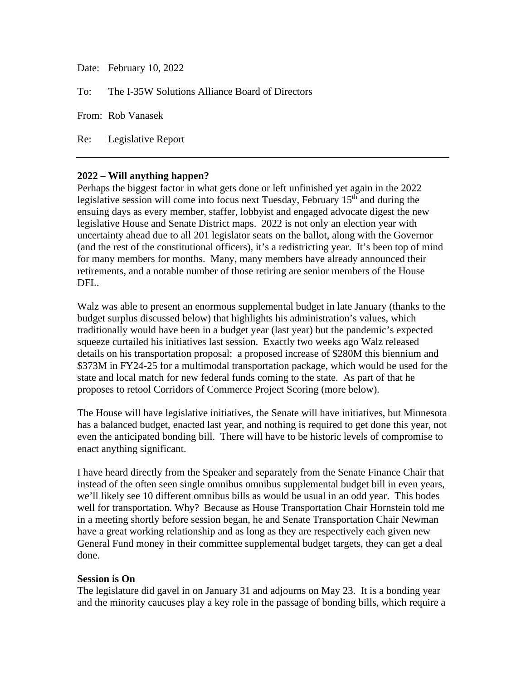Date: February 10, 2022

To: The I-35W Solutions Alliance Board of Directors

From: Rob Vanasek

Re: Legislative Report

## **2022 – Will anything happen?**

Perhaps the biggest factor in what gets done or left unfinished yet again in the 2022 legislative session will come into focus next Tuesday, February  $15<sup>th</sup>$  and during the ensuing days as every member, staffer, lobbyist and engaged advocate digest the new legislative House and Senate District maps. 2022 is not only an election year with uncertainty ahead due to all 201 legislator seats on the ballot, along with the Governor (and the rest of the constitutional officers), it's a redistricting year. It's been top of mind for many members for months. Many, many members have already announced their retirements, and a notable number of those retiring are senior members of the House DFL.

Walz was able to present an enormous supplemental budget in late January (thanks to the budget surplus discussed below) that highlights his administration's values, which traditionally would have been in a budget year (last year) but the pandemic's expected squeeze curtailed his initiatives last session. Exactly two weeks ago Walz released details on his transportation proposal: a proposed increase of \$280M this biennium and \$373M in FY24-25 for a multimodal transportation package, which would be used for the state and local match for new federal funds coming to the state. As part of that he proposes to retool Corridors of Commerce Project Scoring (more below).

The House will have legislative initiatives, the Senate will have initiatives, but Minnesota has a balanced budget, enacted last year, and nothing is required to get done this year, not even the anticipated bonding bill. There will have to be historic levels of compromise to enact anything significant.

I have heard directly from the Speaker and separately from the Senate Finance Chair that instead of the often seen single omnibus omnibus supplemental budget bill in even years, we'll likely see 10 different omnibus bills as would be usual in an odd year. This bodes well for transportation. Why? Because as House Transportation Chair Hornstein told me in a meeting shortly before session began, he and Senate Transportation Chair Newman have a great working relationship and as long as they are respectively each given new General Fund money in their committee supplemental budget targets, they can get a deal done.

## **Session is On**

The legislature did gavel in on January 31 and adjourns on May 23. It is a bonding year and the minority caucuses play a key role in the passage of bonding bills, which require a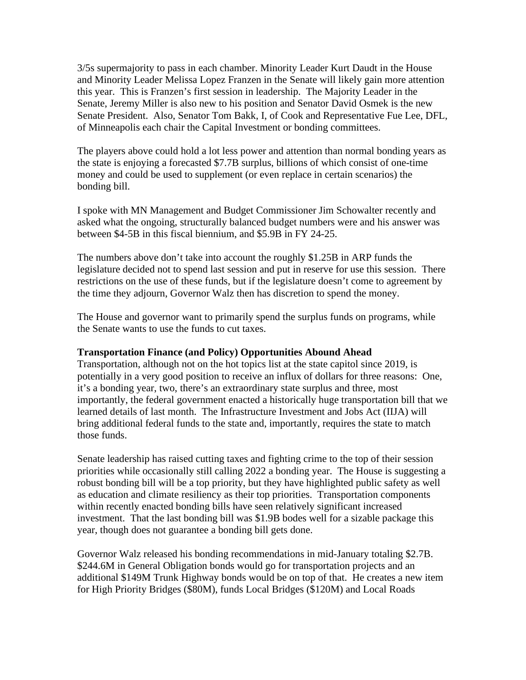3/5s supermajority to pass in each chamber. Minority Leader Kurt Daudt in the House and Minority Leader Melissa Lopez Franzen in the Senate will likely gain more attention this year. This is Franzen's first session in leadership. The Majority Leader in the Senate, Jeremy Miller is also new to his position and Senator David Osmek is the new Senate President. Also, Senator Tom Bakk, I, of Cook and Representative Fue Lee, DFL, of Minneapolis each chair the Capital Investment or bonding committees.

The players above could hold a lot less power and attention than normal bonding years as the state is enjoying a forecasted \$7.7B surplus, billions of which consist of one-time money and could be used to supplement (or even replace in certain scenarios) the bonding bill.

I spoke with MN Management and Budget Commissioner Jim Schowalter recently and asked what the ongoing, structurally balanced budget numbers were and his answer was between \$4-5B in this fiscal biennium, and \$5.9B in FY 24-25.

The numbers above don't take into account the roughly \$1.25B in ARP funds the legislature decided not to spend last session and put in reserve for use this session. There restrictions on the use of these funds, but if the legislature doesn't come to agreement by the time they adjourn, Governor Walz then has discretion to spend the money.

The House and governor want to primarily spend the surplus funds on programs, while the Senate wants to use the funds to cut taxes.

## **Transportation Finance (and Policy) Opportunities Abound Ahead**

Transportation, although not on the hot topics list at the state capitol since 2019, is potentially in a very good position to receive an influx of dollars for three reasons: One, it's a bonding year, two, there's an extraordinary state surplus and three, most importantly, the federal government enacted a historically huge transportation bill that we learned details of last month. The Infrastructure Investment and Jobs Act (IIJA) will bring additional federal funds to the state and, importantly, requires the state to match those funds.

Senate leadership has raised cutting taxes and fighting crime to the top of their session priorities while occasionally still calling 2022 a bonding year. The House is suggesting a robust bonding bill will be a top priority, but they have highlighted public safety as well as education and climate resiliency as their top priorities. Transportation components within recently enacted bonding bills have seen relatively significant increased investment. That the last bonding bill was \$1.9B bodes well for a sizable package this year, though does not guarantee a bonding bill gets done.

Governor Walz released his bonding recommendations in mid-January totaling \$2.7B. \$244.6M in General Obligation bonds would go for transportation projects and an additional \$149M Trunk Highway bonds would be on top of that. He creates a new item for High Priority Bridges (\$80M), funds Local Bridges (\$120M) and Local Roads